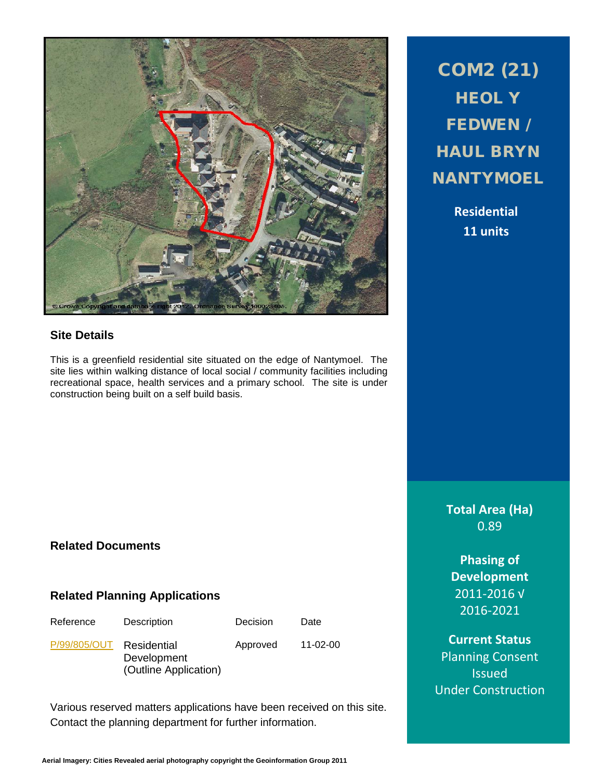

## **Site Details**

This is a greenfield residential site situated on the edge of Nantymoel. The site lies within walking distance of local social / community facilities including recreational space, health services and a primary school. The site is under construction being built on a self build basis.

# COM2 (21) HEOL Y FEDWEN / HAUL BRYN **NANTYMOEL**

**Residential 11 units**

**Total Area (Ha)** 0.89

**Phasing of Development** 2011-2016 √ 2016-2021

**Current Status** Planning Consent **Issued** Under Construction

# **Related Documents**

## **Related Planning Applications**

| Reference | Des |
|-----------|-----|
|           |     |

cription Decision Date

[P/99/805/OUT](http://planpor.bridgend.gov.uk/OcellaWeb/planningDetails?reference=P/99/805/OUT&from=planningSearch) Residential Development (Outline Application)

Approved 11-02-00

Various reserved matters applications have been received on this site. Contact the planning department for further information.